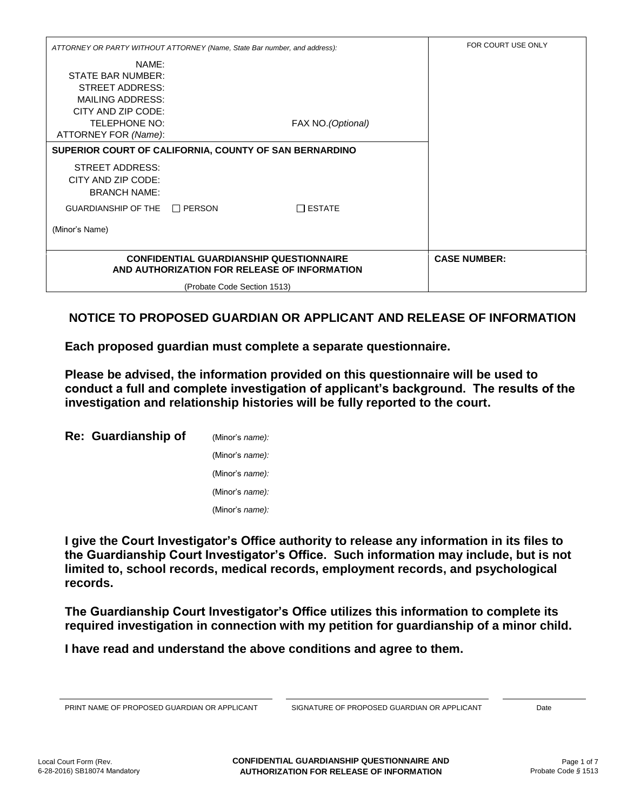| ATTORNEY OR PARTY WITHOUT ATTORNEY (Name, State Bar number, and address):                                                                             | FOR COURT USE ONLY          |                    |  |
|-------------------------------------------------------------------------------------------------------------------------------------------------------|-----------------------------|--------------------|--|
| NAME:<br><b>STATE BAR NUMBER:</b><br>STREET ADDRESS:<br><b>MAILING ADDRESS:</b><br>CITY AND ZIP CODE:<br><b>TELEPHONE NO:</b><br>ATTORNEY FOR (Name): |                             | FAX NO. (Optional) |  |
| SUPERIOR COURT OF CALIFORNIA, COUNTY OF SAN BERNARDINO                                                                                                |                             |                    |  |
| STREET ADDRESS:<br>CITY AND ZIP CODE:<br><b>BRANCH NAME:</b>                                                                                          |                             |                    |  |
| <b>GUARDIANSHIP OF THE</b>                                                                                                                            | $\Box$ PERSON               | $\Box$ ESTATE      |  |
| (Minor's Name)                                                                                                                                        |                             |                    |  |
| <b>CONFIDENTIAL GUARDIANSHIP QUESTIONNAIRE</b><br>AND AUTHORIZATION FOR RELEASE OF INFORMATION                                                        | <b>CASE NUMBER:</b>         |                    |  |
|                                                                                                                                                       | (Probate Code Section 1513) |                    |  |

## **NOTICE TO PROPOSED GUARDIAN OR APPLICANT AND RELEASE OF INFORMATION**

**Each proposed guardian must complete a separate questionnaire.** 

**Please be advised, the information provided on this questionnaire will be used to conduct a full and complete investigation of applicant's background. The results of the investigation and relationship histories will be fully reported to the court.** 

| Re: Guardianship of | (Minor's name):         |
|---------------------|-------------------------|
|                     | (Minor's <i>name)</i> : |
|                     | (Minor's name):         |
|                     | (Minor's name):         |
|                     | (Minor's <i>name)</i> : |

**I give the Court Investigator's Office authority to release any information in its files to the Guardianship Court Investigator's Office. Such information may include, but is not limited to, school records, medical records, employment records, and psychological records.** 

**The Guardianship Court Investigator's Office utilizes this information to complete its required investigation in connection with my petition for guardianship of a minor child.** 

**I have read and understand the above conditions and agree to them.** 

PRINT NAME OF PROPOSED GUARDIAN OR APPLICANT SIGNATURE OF PROPOSED GUARDIAN OR APPLICANT Date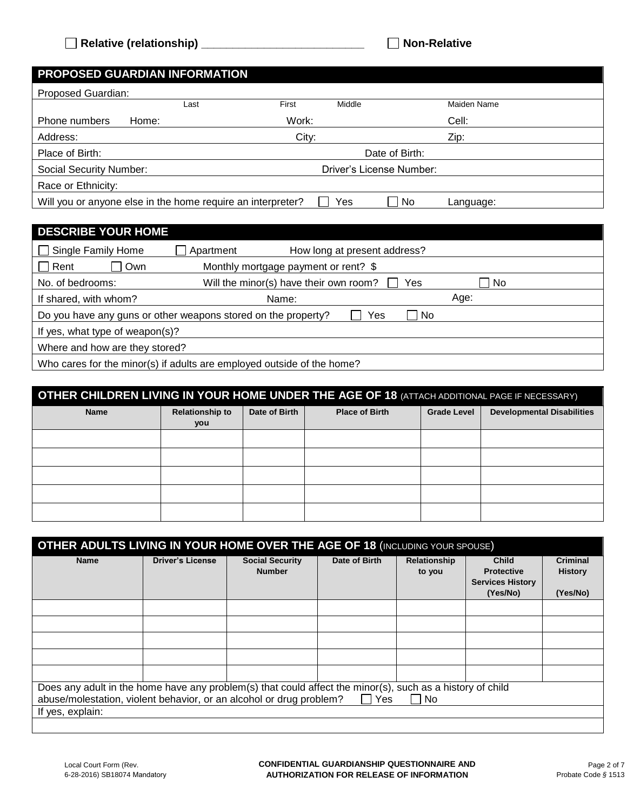| <b>PROPOSED GUARDIAN INFORMATION</b>                        |                 |                                 |  |  |  |  |  |
|-------------------------------------------------------------|-----------------|---------------------------------|--|--|--|--|--|
| Proposed Guardian:                                          |                 |                                 |  |  |  |  |  |
| Last                                                        | First<br>Middle | Maiden Name                     |  |  |  |  |  |
| Home:<br>Phone numbers                                      | Work:           | Cell:                           |  |  |  |  |  |
| Address:                                                    | City:           | Zip:                            |  |  |  |  |  |
| Place of Birth:                                             | Date of Birth:  |                                 |  |  |  |  |  |
| <b>Social Security Number:</b>                              |                 | Driver's License Number:        |  |  |  |  |  |
| Race or Ethnicity:                                          |                 |                                 |  |  |  |  |  |
| Will you or anyone else in the home require an interpreter? | Yes             | No<br>$\mathbf{I}$<br>Language: |  |  |  |  |  |

## **DESCRIBE YOUR HOME**

| □ Single Family Home                                                        | Apartment | How long at present address?           |  |     |      |  |
|-----------------------------------------------------------------------------|-----------|----------------------------------------|--|-----|------|--|
| $\Box$ Rent<br>Own                                                          |           | Monthly mortgage payment or rent? \$   |  |     |      |  |
| No. of bedrooms:                                                            |           | Will the minor(s) have their own room? |  | Yes | l No |  |
| If shared, with whom?                                                       |           | Name:                                  |  |     | Age: |  |
| Do you have any guns or other weapons stored on the property?<br>No.<br>Yes |           |                                        |  |     |      |  |
| If yes, what type of weapon(s)?                                             |           |                                        |  |     |      |  |
| Where and how are they stored?                                              |           |                                        |  |     |      |  |
| Who cares for the minor(s) if adults are employed outside of the home?      |           |                                        |  |     |      |  |

## **OTHER CHILDREN LIVING IN YOUR HOME UNDER THE AGE OF 18 (ATTACH ADDITIONAL PAGE IF NECESSARY)**

| Name | <b>Relationship to</b> | Date of Birth | <b>Place of Birth</b> | <b>Grade Level</b> | <b>Developmental Disabilities</b> |
|------|------------------------|---------------|-----------------------|--------------------|-----------------------------------|
|      | you                    |               |                       |                    |                                   |
|      |                        |               |                       |                    |                                   |
|      |                        |               |                       |                    |                                   |
|      |                        |               |                       |                    |                                   |
|      |                        |               |                       |                    |                                   |
|      |                        |               |                       |                    |                                   |
|      |                        |               |                       |                    |                                   |
|      |                        |               |                       |                    |                                   |
|      |                        |               |                       |                    |                                   |
|      |                        |               |                       |                    |                                   |
|      |                        |               |                       |                    |                                   |

| <b>OTHER ADULTS LIVING IN YOUR HOME OVER THE AGE OF 18 (INCLUDING YOUR SPOUSE)</b>                                                                                               |                         |                                         |               |                        |                                                                          |                                               |
|----------------------------------------------------------------------------------------------------------------------------------------------------------------------------------|-------------------------|-----------------------------------------|---------------|------------------------|--------------------------------------------------------------------------|-----------------------------------------------|
| <b>Name</b>                                                                                                                                                                      | <b>Driver's License</b> | <b>Social Security</b><br><b>Number</b> | Date of Birth | Relationship<br>to you | <b>Child</b><br><b>Protective</b><br><b>Services History</b><br>(Yes/No) | <b>Criminal</b><br><b>History</b><br>(Yes/No) |
|                                                                                                                                                                                  |                         |                                         |               |                        |                                                                          |                                               |
|                                                                                                                                                                                  |                         |                                         |               |                        |                                                                          |                                               |
|                                                                                                                                                                                  |                         |                                         |               |                        |                                                                          |                                               |
|                                                                                                                                                                                  |                         |                                         |               |                        |                                                                          |                                               |
|                                                                                                                                                                                  |                         |                                         |               |                        |                                                                          |                                               |
| Does any adult in the home have any problem(s) that could affect the minor(s), such as a history of child<br>abuse/molestation, violent behavior, or an alcohol or drug problem? |                         |                                         | Yes           | <b>No</b>              |                                                                          |                                               |
| If yes, explain:                                                                                                                                                                 |                         |                                         |               |                        |                                                                          |                                               |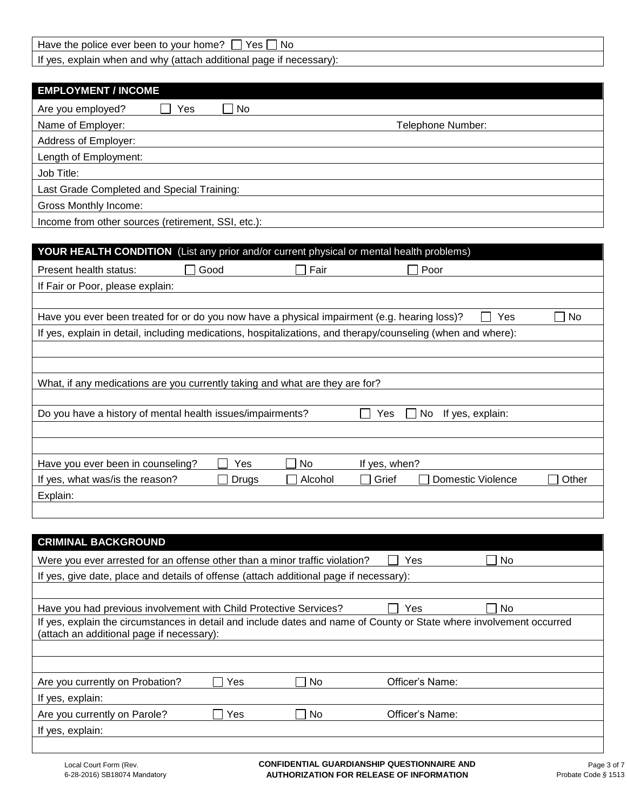| Yes.<br>Nc.<br>Have the police ever been to<br>∵home.<br>vour                               |  |
|---------------------------------------------------------------------------------------------|--|
| If yes<br>and<br>page<br>additional<br>necessary):<br>why<br>lattach)<br>when<br>. explain. |  |

| <b>EMPLOYMENT / INCOME</b>                         |                   |
|----------------------------------------------------|-------------------|
| Are you employed?<br>Yes<br>No.                    |                   |
| Name of Employer:                                  | Telephone Number: |
| Address of Employer:                               |                   |
| Length of Employment:                              |                   |
| Job Title:                                         |                   |
| Last Grade Completed and Special Training:         |                   |
| <b>Gross Monthly Income:</b>                       |                   |
| Income from other sources (retirement, SSI, etc.): |                   |

| <b>YOUR HEALTH CONDITION</b> (List any prior and/or current physical or mental health problems)              |         |                                   |       |
|--------------------------------------------------------------------------------------------------------------|---------|-----------------------------------|-------|
| $\Box$ Good<br>Present health status:                                                                        | Fair    | Poor                              |       |
| If Fair or Poor, please explain:                                                                             |         |                                   |       |
|                                                                                                              |         |                                   |       |
| Have you ever been treated for or do you now have a physical impairment (e.g. hearing loss)?                 |         | Yes                               | No.   |
| If yes, explain in detail, including medications, hospitalizations, and therapy/counseling (when and where): |         |                                   |       |
|                                                                                                              |         |                                   |       |
|                                                                                                              |         |                                   |       |
| What, if any medications are you currently taking and what are they are for?                                 |         |                                   |       |
|                                                                                                              |         |                                   |       |
| Do you have a history of mental health issues/impairments?                                                   |         | No.<br>If yes, explain:<br>Yes    |       |
|                                                                                                              |         |                                   |       |
|                                                                                                              |         |                                   |       |
| Yes<br>Have you ever been in counseling?                                                                     | No.     | If yes, when?                     |       |
| If yes, what was/is the reason?<br>Drugs                                                                     | Alcohol | Grief<br><b>Domestic Violence</b> | Other |
| Explain:                                                                                                     |         |                                   |       |
|                                                                                                              |         |                                   |       |

| <b>CRIMINAL BACKGROUND</b>                                                                                                                                        |     |           |                 |     |  |  |  |
|-------------------------------------------------------------------------------------------------------------------------------------------------------------------|-----|-----------|-----------------|-----|--|--|--|
| Were you ever arrested for an offense other than a minor traffic violation?<br>No.<br>Yes                                                                         |     |           |                 |     |  |  |  |
| If yes, give date, place and details of offense (attach additional page if necessary):                                                                            |     |           |                 |     |  |  |  |
|                                                                                                                                                                   |     |           |                 |     |  |  |  |
| Have you had previous involvement with Child Protective Services?                                                                                                 |     |           | Yes             | No. |  |  |  |
| If yes, explain the circumstances in detail and include dates and name of County or State where involvement occurred<br>(attach an additional page if necessary): |     |           |                 |     |  |  |  |
|                                                                                                                                                                   |     |           |                 |     |  |  |  |
|                                                                                                                                                                   |     |           |                 |     |  |  |  |
| Are you currently on Probation?                                                                                                                                   | Yes | <b>No</b> | Officer's Name: |     |  |  |  |
| If yes, explain:                                                                                                                                                  |     |           |                 |     |  |  |  |
| Are you currently on Parole?                                                                                                                                      | Yes | <b>No</b> | Officer's Name: |     |  |  |  |
| If yes, explain:                                                                                                                                                  |     |           |                 |     |  |  |  |
|                                                                                                                                                                   |     |           |                 |     |  |  |  |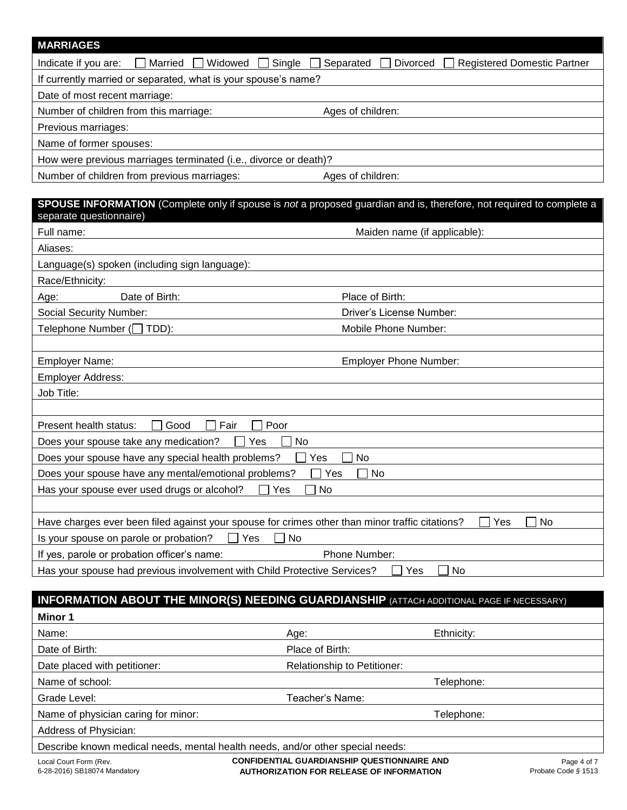| <b>MARRIAGES</b>                                                                                         |                                                                                                                      |
|----------------------------------------------------------------------------------------------------------|----------------------------------------------------------------------------------------------------------------------|
| Indicate if you are:<br>Married<br>Widowed                                                               | Single<br>Separated<br><b>Divorced</b><br><b>Registered Domestic Partner</b>                                         |
| If currently married or separated, what is your spouse's name?                                           |                                                                                                                      |
| Date of most recent marriage:                                                                            |                                                                                                                      |
| Number of children from this marriage:                                                                   | Ages of children:                                                                                                    |
| Previous marriages:                                                                                      |                                                                                                                      |
| Name of former spouses:                                                                                  |                                                                                                                      |
| How were previous marriages terminated (i.e., divorce or death)?                                         |                                                                                                                      |
| Number of children from previous marriages:                                                              | Ages of children:                                                                                                    |
|                                                                                                          |                                                                                                                      |
| separate questionnaire)                                                                                  | SPOUSE INFORMATION (Complete only if spouse is not a proposed guardian and is, therefore, not required to complete a |
| Full name:                                                                                               | Maiden name (if applicable):                                                                                         |
| Aliases:                                                                                                 |                                                                                                                      |
| Language(s) spoken (including sign language):                                                            |                                                                                                                      |
| Race/Ethnicity:                                                                                          |                                                                                                                      |
| Date of Birth:<br>Age:                                                                                   | Place of Birth:                                                                                                      |
| Social Security Number:                                                                                  | Driver's License Number:                                                                                             |
| Telephone Number (□ TDD):                                                                                | Mobile Phone Number:                                                                                                 |
|                                                                                                          |                                                                                                                      |
| Employer Name:                                                                                           | <b>Employer Phone Number:</b>                                                                                        |
| Employer Address:                                                                                        |                                                                                                                      |
| Job Title:                                                                                               |                                                                                                                      |
|                                                                                                          |                                                                                                                      |
| Good<br>Fair<br>Present health status:                                                                   | Poor                                                                                                                 |
| Does your spouse take any medication?                                                                    | No<br>Yes                                                                                                            |
| Does your spouse have any special health problems?                                                       | Yes<br>No                                                                                                            |
| Does your spouse have any mental/emotional problems?                                                     | Yes<br>No                                                                                                            |
| Has your spouse ever used drugs or alcohol?                                                              | $\Box$ Yes<br>$\Box$ No                                                                                              |
|                                                                                                          |                                                                                                                      |
|                                                                                                          | Have charges ever been filed against your spouse for crimes other than minor traffic citations?<br>Yes<br>No         |
| Is your spouse on parole or probation?                                                                   | No<br>Yes                                                                                                            |
| If yes, parole or probation officer's name:                                                              | Phone Number:                                                                                                        |
| Has your spouse had previous involvement with Child Protective Services?                                 | No<br>Yes                                                                                                            |
|                                                                                                          |                                                                                                                      |
|                                                                                                          | <b>INFORMATION ABOUT THE MINOR(S) NEEDING GUARDIANSHIP (ATTACH ADDITIONAL PAGE IF NECESSARY)</b>                     |
| Minor 1                                                                                                  |                                                                                                                      |
| Name:                                                                                                    | Ethnicity:<br>Age:                                                                                                   |
| Date of Birth:                                                                                           | Place of Birth:                                                                                                      |
| Date placed with petitioner:                                                                             | Relationship to Petitioner:                                                                                          |
| Name of school:                                                                                          | Telephone:                                                                                                           |
| Grade Level:                                                                                             | Teacher's Name:                                                                                                      |
| Name of physician caring for minor:                                                                      | Telephone:                                                                                                           |
| Address of Physician:                                                                                    |                                                                                                                      |
| Describe known medical needs, mental health needs, and/or other special needs:<br>Local Court Form (Rev. | <b>CONFIDENTIAL GUARDIANSHIP QUESTIONNAIRE AND</b><br>Page 4 of 7                                                    |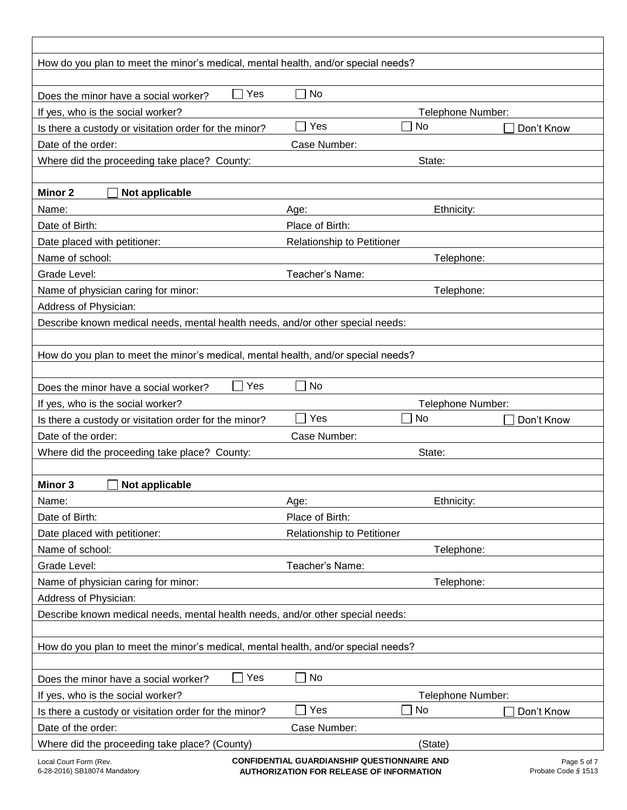| How do you plan to meet the minor's medical, mental health, and/or special needs? |                                   |                                             |             |
|-----------------------------------------------------------------------------------|-----------------------------------|---------------------------------------------|-------------|
|                                                                                   |                                   |                                             |             |
| Yes<br>Does the minor have a social worker?                                       | ∃ No                              |                                             |             |
| If yes, who is the social worker?                                                 |                                   | Telephone Number:                           |             |
| Is there a custody or visitation order for the minor?                             | Yes                               | <b>No</b>                                   | Don't Know  |
| Date of the order:                                                                | Case Number:                      |                                             |             |
| Where did the proceeding take place? County:                                      |                                   | State:                                      |             |
|                                                                                   |                                   |                                             |             |
| Minor 2<br>Not applicable                                                         |                                   |                                             |             |
| Name:                                                                             | Age:                              | Ethnicity:                                  |             |
| Date of Birth:                                                                    | Place of Birth:                   |                                             |             |
| Date placed with petitioner:                                                      | <b>Relationship to Petitioner</b> |                                             |             |
| Name of school:                                                                   |                                   | Telephone:                                  |             |
| Grade Level:                                                                      | Teacher's Name:                   |                                             |             |
| Name of physician caring for minor:                                               |                                   | Telephone:                                  |             |
| Address of Physician:                                                             |                                   |                                             |             |
| Describe known medical needs, mental health needs, and/or other special needs:    |                                   |                                             |             |
|                                                                                   |                                   |                                             |             |
| How do you plan to meet the minor's medical, mental health, and/or special needs? |                                   |                                             |             |
|                                                                                   |                                   |                                             |             |
| Yes<br>Does the minor have a social worker?                                       | No                                |                                             |             |
| If yes, who is the social worker?                                                 |                                   | Telephone Number:                           |             |
| Is there a custody or visitation order for the minor?                             | Yes                               | <b>No</b>                                   | Don't Know  |
| Date of the order:                                                                | Case Number:                      |                                             |             |
| Where did the proceeding take place? County:                                      |                                   | State:                                      |             |
|                                                                                   |                                   |                                             |             |
| Not applicable<br>Minor 3                                                         |                                   |                                             |             |
| Name:                                                                             | Age:                              | Ethnicity:                                  |             |
| Date of Birth:                                                                    | Place of Birth:                   |                                             |             |
| Date placed with petitioner:                                                      | Relationship to Petitioner        |                                             |             |
| Name of school:                                                                   |                                   | Telephone:                                  |             |
| Grade Level:                                                                      | Teacher's Name:                   |                                             |             |
| Name of physician caring for minor:                                               |                                   | Telephone:                                  |             |
| Address of Physician:                                                             |                                   |                                             |             |
| Describe known medical needs, mental health needs, and/or other special needs:    |                                   |                                             |             |
|                                                                                   |                                   |                                             |             |
| How do you plan to meet the minor's medical, mental health, and/or special needs? |                                   |                                             |             |
|                                                                                   |                                   |                                             |             |
| Yes<br>Does the minor have a social worker?                                       | No<br>$\bigcup$                   |                                             |             |
| If yes, who is the social worker?                                                 |                                   | Telephone Number:                           |             |
| Is there a custody or visitation order for the minor?                             | Yes                               | No                                          | Don't Know  |
| Date of the order:                                                                | Case Number:                      |                                             |             |
| Where did the proceeding take place? (County)                                     |                                   | (State)                                     |             |
| Local Court Form (Rev.                                                            |                                   | CONFIDENTIAL GUARDIANSHIP QUESTIONNAIRE AND | Page 5 of 7 |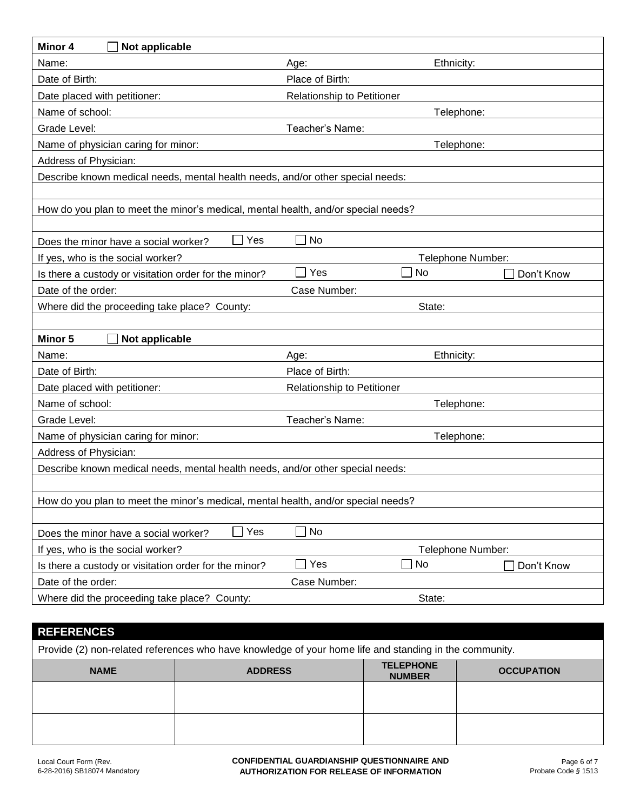| Minor 4<br>Not applicable                                                         |                                                   |                            |  |  |  |  |
|-----------------------------------------------------------------------------------|---------------------------------------------------|----------------------------|--|--|--|--|
| Name:                                                                             | Ethnicity:<br>Age:                                |                            |  |  |  |  |
| Date of Birth:                                                                    | Place of Birth:                                   |                            |  |  |  |  |
| Date placed with petitioner:                                                      | Relationship to Petitioner                        |                            |  |  |  |  |
| Name of school:                                                                   | Telephone:                                        |                            |  |  |  |  |
| Grade Level:                                                                      | Teacher's Name:                                   |                            |  |  |  |  |
| Name of physician caring for minor:                                               | Telephone:                                        |                            |  |  |  |  |
| Address of Physician:                                                             |                                                   |                            |  |  |  |  |
| Describe known medical needs, mental health needs, and/or other special needs:    |                                                   |                            |  |  |  |  |
|                                                                                   |                                                   |                            |  |  |  |  |
| How do you plan to meet the minor's medical, mental health, and/or special needs? |                                                   |                            |  |  |  |  |
|                                                                                   |                                                   |                            |  |  |  |  |
| Yes<br>Does the minor have a social worker?                                       | No                                                |                            |  |  |  |  |
| If yes, who is the social worker?                                                 | Telephone Number:                                 |                            |  |  |  |  |
| Is there a custody or visitation order for the minor?                             | Yes<br>No<br>$\Box$                               | Don't Know                 |  |  |  |  |
| Date of the order:                                                                | Case Number:                                      |                            |  |  |  |  |
| Where did the proceeding take place? County:                                      | State:                                            |                            |  |  |  |  |
|                                                                                   |                                                   |                            |  |  |  |  |
| <b>Minor 5</b><br>Not applicable                                                  |                                                   |                            |  |  |  |  |
| Name:                                                                             | Ethnicity:<br>Age:                                |                            |  |  |  |  |
| Date of Birth:                                                                    | Place of Birth:                                   |                            |  |  |  |  |
| Date placed with petitioner:                                                      |                                                   | Relationship to Petitioner |  |  |  |  |
| Name of school:                                                                   | Telephone:                                        |                            |  |  |  |  |
| Grade Level:                                                                      | Teacher's Name:                                   |                            |  |  |  |  |
|                                                                                   | Name of physician caring for minor:<br>Telephone: |                            |  |  |  |  |
| Address of Physician:                                                             |                                                   |                            |  |  |  |  |
| Describe known medical needs, mental health needs, and/or other special needs:    |                                                   |                            |  |  |  |  |
|                                                                                   |                                                   |                            |  |  |  |  |
| How do you plan to meet the minor's medical, mental health, and/or special needs? |                                                   |                            |  |  |  |  |
| Yes                                                                               | No                                                |                            |  |  |  |  |
| Does the minor have a social worker?                                              |                                                   |                            |  |  |  |  |
| If yes, who is the social worker?                                                 | Telephone Number:<br>Yes<br>No<br>$\blacksquare$  |                            |  |  |  |  |
| Is there a custody or visitation order for the minor?<br>Date of the order:       |                                                   | Don't Know                 |  |  |  |  |
|                                                                                   | Case Number:                                      |                            |  |  |  |  |
| Where did the proceeding take place? County:                                      | State:                                            |                            |  |  |  |  |

## **REFERENCES**

| Provide (2) non-related references who have knowledge of your home life and standing in the community. |                |                                   |                   |  |  |
|--------------------------------------------------------------------------------------------------------|----------------|-----------------------------------|-------------------|--|--|
| <b>NAME</b>                                                                                            | <b>ADDRESS</b> | <b>TELEPHONE</b><br><b>NUMBER</b> | <b>OCCUPATION</b> |  |  |
|                                                                                                        |                |                                   |                   |  |  |
|                                                                                                        |                |                                   |                   |  |  |